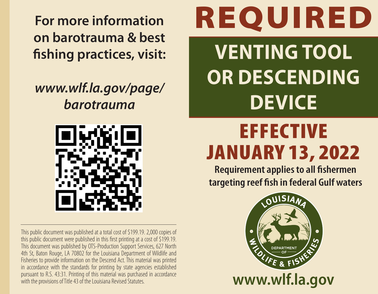**For more information on barotrauma & best fishing practices, visit:**

## *www.wlf.la.gov/page/ barotrauma*



This public document was published at a total cost of \$199.19. 2,000 copies of this public document were published in this first printing at a cost of \$199.19. This document was published by OTS-Production Support Services, 627 North 4th St, Baton Rouge, LA 70802 for the Louisiana Department of Wildlife and Fisheries to provide information on the Descend Act. This material was printed in accordance with the standards for printing by state agencies established pursuant to R.S. 43:31. Printing of this material was purchased in accordance with the provisions of Title 43 of the Louisiana Revised Statutes.

## REQUIRED

**VENTING TOOL OR DESCENDING DEVICE**

## **EFFECTIVE** JANUARY 13, 2022

**Requirement applies to all fishermen targeting reef fish in federal Gulf waters**